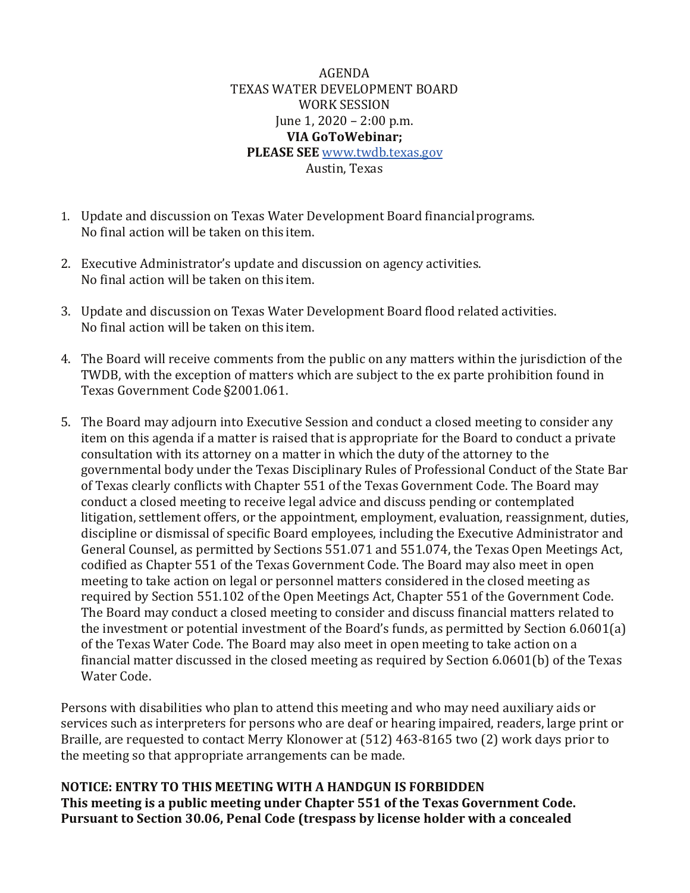AGENDA TEXAS WATER DEVELOPMENT BOARD WORK SESSION June 1, 2020 – 2:00 p.m. **VIA GoToWebinar; PLEASE SEE** [www.twdb.texas.gov](http://www.twdb.texas.gov/) Austin, Texas

- 1. Update and discussion on Texas Water Development Board financialprograms. No final action will be taken on this item.
- 2. Executive Administrator's update and discussion on agency activities. No final action will be taken on this item.
- 3. Update and discussion on Texas Water Development Board flood related activities. No final action will be taken on this item.
- 4. The Board will receive comments from the public on any matters within the jurisdiction of the TWDB, with the exception of matters which are subject to the ex parte prohibition found in Texas Government Code §2001.061.
- 5. The Board may adjourn into Executive Session and conduct a closed meeting to consider any item on this agenda if a matter is raised that is appropriate for the Board to conduct a private consultation with its attorney on a matter in which the duty of the attorney to the governmental body under the Texas Disciplinary Rules of Professional Conduct of the State Bar of Texas clearly conflicts with Chapter 551 of the Texas Government Code. The Board may conduct a closed meeting to receive legal advice and discuss pending or contemplated litigation, settlement offers, or the appointment, employment, evaluation, reassignment, duties, discipline or dismissal of specific Board employees, including the Executive Administrator and General Counsel, as permitted by Sections 551.071 and 551.074, the Texas Open Meetings Act, codified as Chapter 551 of the Texas Government Code. The Board may also meet in open meeting to take action on legal or personnel matters considered in the closed meeting as required by Section 551.102 of the Open Meetings Act, Chapter 551 of the Government Code. The Board may conduct a closed meeting to consider and discuss financial matters related to the investment or potential investment of the Board's funds, as permitted by Section 6.0601(a) of the Texas Water Code. The Board may also meet in open meeting to take action on a financial matter discussed in the closed meeting as required by Section 6.0601(b) of the Texas Water Code.

Persons with disabilities who plan to attend this meeting and who may need auxiliary aids or services such as interpreters for persons who are deaf or hearing impaired, readers, large print or Braille, are requested to contact Merry Klonower at (512) 463-8165 two (2) work days prior to the meeting so that appropriate arrangements can be made.

**NOTICE: ENTRY TO THIS MEETING WITH A HANDGUN IS FORBIDDEN This meeting is a public meeting under Chapter 551 of the Texas Government Code. Pursuant to Section 30.06, Penal Code (trespass by license holder with a concealed**